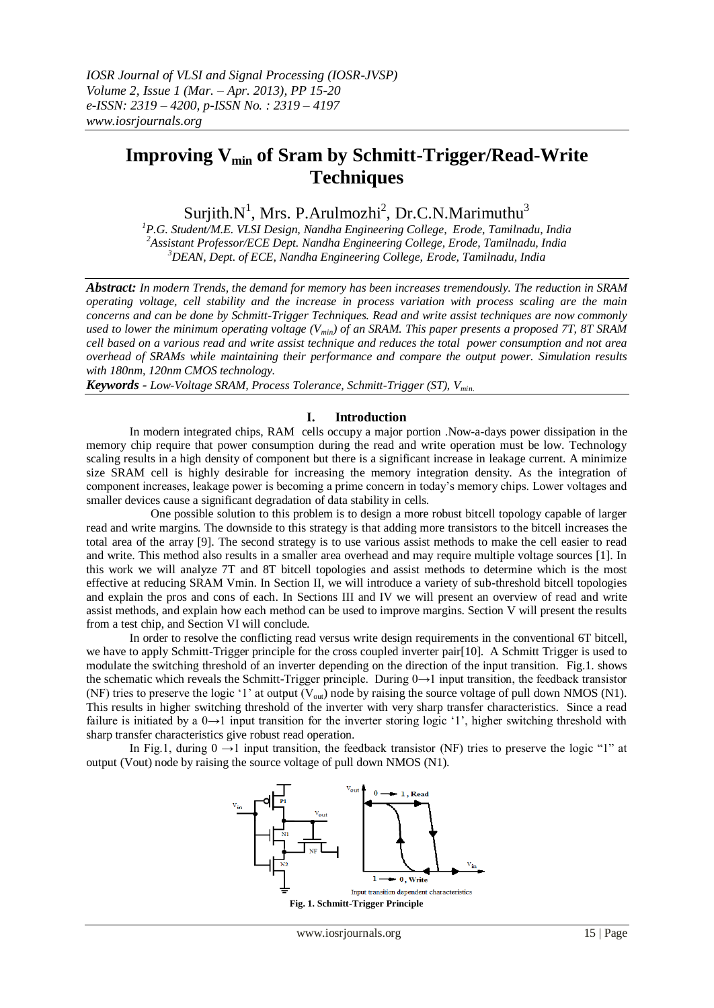# **Improving Vmin of Sram by Schmitt-Trigger/Read-Write Techniques**

Surjith.N<sup>1</sup>, Mrs. P.Arulmozhi<sup>2</sup>, Dr.C.N.Marimuthu<sup>3</sup>

*<sup>1</sup>P.G. Student/M.E. VLSI Design, Nandha Engineering College, Erode, Tamilnadu, India <sup>2</sup>Assistant Professor/ECE Dept. Nandha Engineering College, Erode, Tamilnadu, India <sup>3</sup>DEAN, Dept. of ECE, Nandha Engineering College, Erode, Tamilnadu, India*

*Abstract: In modern Trends, the demand for memory has been increases tremendously. The reduction in SRAM operating voltage, cell stability and the increase in process variation with process scaling are the main concerns and can be done by Schmitt-Trigger Techniques. Read and write assist techniques are now commonly used to lower the minimum operating voltage (Vmin) of an SRAM. This paper presents a proposed 7T, 8T SRAM cell based on a various read and write assist technique and reduces the total power consumption and not area overhead of SRAMs while maintaining their performance and compare the output power. Simulation results with 180nm, 120nm CMOS technology.*

*Keywords - Low-Voltage SRAM, Process Tolerance, Schmitt-Trigger (ST), Vmin.*

### **I. Introduction**

In modern integrated chips, RAM cells occupy a major portion .Now-a-days power dissipation in the memory chip require that power consumption during the read and write operation must be low. Technology scaling results in a high density of component but there is a significant increase in leakage current. A minimize size SRAM cell is highly desirable for increasing the memory integration density. As the integration of component increases, leakage power is becoming a prime concern in today's memory chips. Lower voltages and smaller devices cause a significant degradation of data stability in cells.

 One possible solution to this problem is to design a more robust bitcell topology capable of larger read and write margins. The downside to this strategy is that adding more transistors to the bitcell increases the total area of the array [9]. The second strategy is to use various assist methods to make the cell easier to read and write. This method also results in a smaller area overhead and may require multiple voltage sources [1]. In this work we will analyze 7T and 8T bitcell topologies and assist methods to determine which is the most effective at reducing SRAM Vmin. In Section II, we will introduce a variety of sub-threshold bitcell topologies and explain the pros and cons of each. In Sections III and IV we will present an overview of read and write assist methods, and explain how each method can be used to improve margins. Section V will present the results from a test chip, and Section VI will conclude.

In order to resolve the conflicting read versus write design requirements in the conventional 6T bitcell, we have to apply Schmitt-Trigger principle for the cross coupled inverter pair[10]. A Schmitt Trigger is used to modulate the switching threshold of an inverter depending on the direction of the input transition. Fig.1. shows the schematic which reveals the Schmitt-Trigger principle. During  $0 \rightarrow 1$  input transition, the feedback transistor (NF) tries to preserve the logic '1' at output ( $V_{out}$ ) node by raising the source voltage of pull down NMOS (N1). This results in higher switching threshold of the inverter with very sharp transfer characteristics. Since a read failure is initiated by a  $0\rightarrow 1$  input transition for the inverter storing logic '1', higher switching threshold with sharp transfer characteristics give robust read operation.

In Fig.1, during  $0 \rightarrow 1$  input transition, the feedback transistor (NF) tries to preserve the logic "1" at output (Vout) node by raising the source voltage of pull down NMOS (N1).

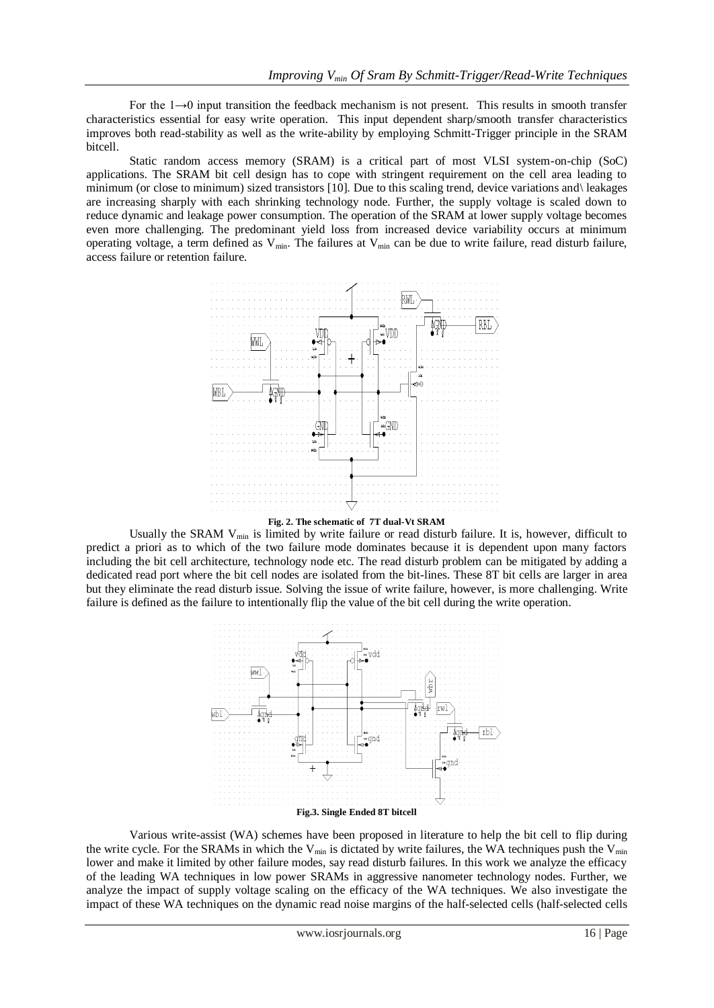For the 1→0 input transition the feedback mechanism is not present. This results in smooth transfer characteristics essential for easy write operation. This input dependent sharp/smooth transfer characteristics improves both read-stability as well as the write-ability by employing Schmitt-Trigger principle in the SRAM bitcell.

Static random access memory (SRAM) is a critical part of most VLSI system-on-chip (SoC) applications. The SRAM bit cell design has to cope with stringent requirement on the cell area leading to minimum (or close to minimum) sized transistors [10]. Due to this scaling trend, device variations and\ leakages are increasing sharply with each shrinking technology node. Further, the supply voltage is scaled down to reduce dynamic and leakage power consumption. The operation of the SRAM at lower supply voltage becomes even more challenging. The predominant yield loss from increased device variability occurs at minimum operating voltage, a term defined as  $V_{min}$ . The failures at  $V_{min}$  can be due to write failure, read disturb failure, access failure or retention failure.





Usually the SRAM V<sub>min</sub> is limited by write failure or read disturb failure. It is, however, difficult to predict a priori as to which of the two failure mode dominates because it is dependent upon many factors including the bit cell architecture, technology node etc. The read disturb problem can be mitigated by adding a dedicated read port where the bit cell nodes are isolated from the bit-lines. These 8T bit cells are larger in area but they eliminate the read disturb issue. Solving the issue of write failure, however, is more challenging. Write failure is defined as the failure to intentionally flip the value of the bit cell during the write operation.



Various write-assist (WA) schemes have been proposed in literature to help the bit cell to flip during the write cycle. For the SRAMs in which the  $V_{\text{min}}$  is dictated by write failures, the WA techniques push the  $V_{\text{min}}$ lower and make it limited by other failure modes, say read disturb failures. In this work we analyze the efficacy of the leading WA techniques in low power SRAMs in aggressive nanometer technology nodes. Further, we analyze the impact of supply voltage scaling on the efficacy of the WA techniques. We also investigate the impact of these WA techniques on the dynamic read noise margins of the half-selected cells (half-selected cells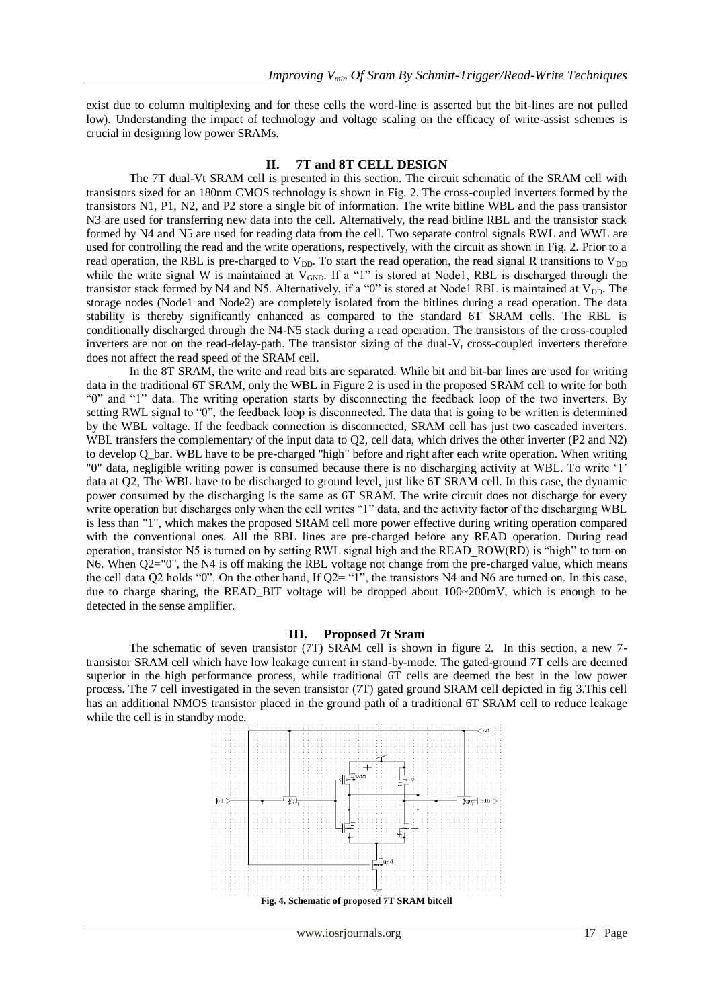exist due to column multiplexing and for these cells the word-line is asserted but the bit-lines are not pulled low). Understanding the impact of technology and voltage scaling on the efficacy of write-assist schemes is crucial in designing low power SRAMs.

#### **II. 7T and 8T CELL DESIGN**

The 7T dual-Vt SRAM cell is presented in this section. The circuit schematic of the SRAM cell with transistors sized for an 180nm CMOS technology is shown in Fig. 2. The cross-coupled inverters formed by the transistors N1, P1, N2, and P2 store a single bit of information. The write bitline WBL and the pass transistor N3 are used for transferring new data into the cell. Alternatively, the read bitline RBL and the transistor stack formed by N4 and N5 are used for reading data from the cell. Two separate control signals RWL and WWL are used for controlling the read and the write operations, respectively, with the circuit as shown in Fig. 2. Prior to a read operation, the RBL is pre-charged to  $\bar{V}_{DD}$ . To start the read operation, the read signal R transitions to  $V_{DD}$ while the write signal W is maintained at  $V_{GND}$ . If a "1" is stored at Node1, RBL is discharged through the transistor stack formed by N4 and N5. Alternatively, if a "0" is stored at Node1 RBL is maintained at  $V_{DD}$ . The storage nodes (Node1 and Node2) are completely isolated from the bitlines during a read operation. The data stability is thereby significantly enhanced as compared to the standard 6T SRAM cells. The RBL is conditionally discharged through the N4-N5 stack during a read operation. The transistors of the cross-coupled inverters are not on the read-delay-path. The transistor sizing of the dual- $V_t$  cross-coupled inverters therefore does not affect the read speed of the SRAM cell.

In the 8T SRAM, the write and read bits are separated. While bit and bit-bar lines are used for writing data in the traditional 6T SRAM, only the WBL in Figure 2 is used in the proposed SRAM cell to write for both ―0‖ and ―1‖ data. The writing operation starts by disconnecting the feedback loop of the two inverters. By setting RWL signal to "0", the feedback loop is disconnected. The data that is going to be written is determined by the WBL voltage. If the feedback connection is disconnected, SRAM cell has just two cascaded inverters. WBL transfers the complementary of the input data to O2, cell data, which drives the other inverter (P2 and N2) to develop Q\_bar. WBL have to be pre-charged "high" before and right after each write operation. When writing "0" data, negligible writing power is consumed because there is no discharging activity at WBL. To write ‗1' data at Q2, The WBL have to be discharged to ground level, just like 6T SRAM cell. In this case, the dynamic power consumed by the discharging is the same as 6T SRAM. The write circuit does not discharge for every write operation but discharges only when the cell writes "1" data, and the activity factor of the discharging WBL is less than "1", which makes the proposed SRAM cell more power effective during writing operation compared with the conventional ones. All the RBL lines are pre-charged before any READ operation. During read operation, transistor N5 is turned on by setting RWL signal high and the READ\_ROW(RD) is "high" to turn on N6. When Q2="0", the N4 is off making the RBL voltage not change from the pre-charged value, which means the cell data Q2 holds "0". On the other hand, If Q2= "1", the transistors N4 and N6 are turned on. In this case, due to charge sharing, the READ\_BIT voltage will be dropped about 100~200mV, which is enough to be detected in the sense amplifier.

#### **III. Proposed 7t Sram**

The schematic of seven transistor (7T) SRAM cell is shown in figure 2. In this section, a new 7 transistor SRAM cell which have low leakage current in stand-by-mode. The gated-ground 7T cells are deemed superior in the high performance process, while traditional 6T cells are deemed the best in the low power process. The 7 cell investigated in the seven transistor (7T) gated ground SRAM cell depicted in fig 3.This cell has an additional NMOS transistor placed in the ground path of a traditional 6T SRAM cell to reduce leakage while the cell is in standby mode.

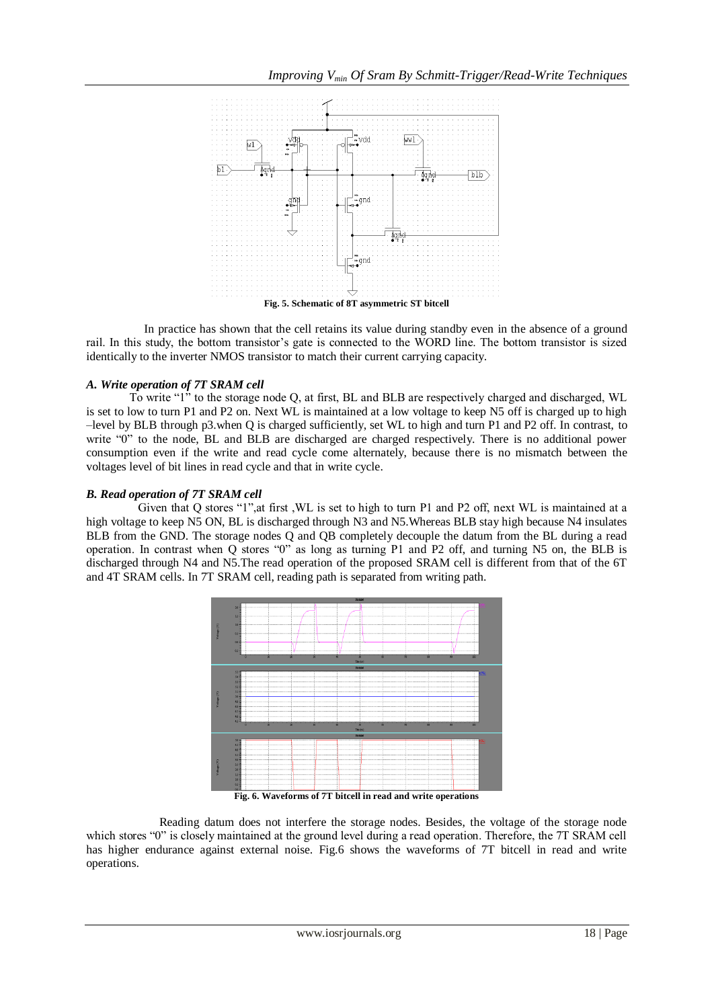

 In practice has shown that the cell retains its value during standby even in the absence of a ground rail. In this study, the bottom transistor's gate is connected to the WORD line. The bottom transistor is sized identically to the inverter NMOS transistor to match their current carrying capacity.

### *A. Write operation of 7T SRAM cell*

To write  $1$ <sup>n</sup> to the storage node Q, at first, BL and BLB are respectively charged and discharged, WL is set to low to turn P1 and P2 on. Next WL is maintained at a low voltage to keep N5 off is charged up to high –level by BLB through p3.when Q is charged sufficiently, set WL to high and turn P1 and P2 off. In contrast, to write "0" to the node, BL and BLB are discharged are charged respectively. There is no additional power consumption even if the write and read cycle come alternately, because there is no mismatch between the voltages level of bit lines in read cycle and that in write cycle.

### *B. Read operation of 7T SRAM cell*

Given that O stores "1", at first , WL is set to high to turn P1 and P2 off, next WL is maintained at a high voltage to keep N5 ON, BL is discharged through N3 and N5. Whereas BLB stay high because N4 insulates BLB from the GND. The storage nodes Q and QB completely decouple the datum from the BL during a read operation. In contrast when  $Q$  stores " $0$ " as long as turning P1 and P2 off, and turning N5 on, the BLB is discharged through N4 and N5.The read operation of the proposed SRAM cell is different from that of the 6T and 4T SRAM cells. In 7T SRAM cell, reading path is separated from writing path.



**Fig. 6. Waveforms of 7T bitcell in read and write operations**

 Reading datum does not interfere the storage nodes. Besides, the voltage of the storage node which stores "0" is closely maintained at the ground level during a read operation. Therefore, the 7T SRAM cell has higher endurance against external noise. Fig.6 shows the waveforms of 7T bitcell in read and write operations.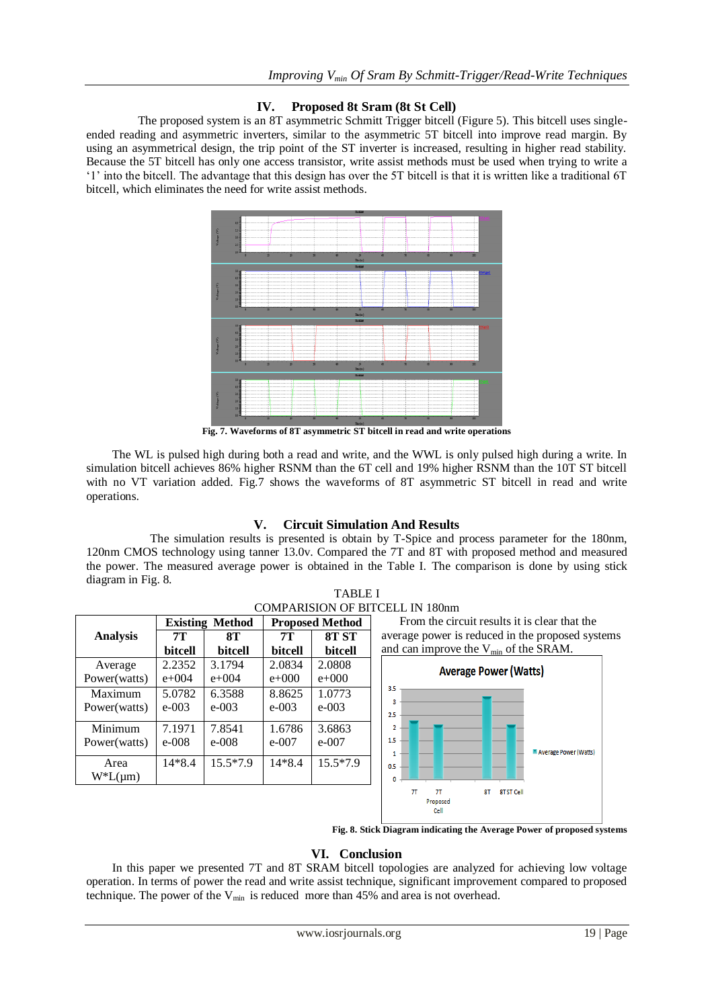# **IV. Proposed 8t Sram (8t St Cell)**

The proposed system is an 8T asymmetric Schmitt Trigger bitcell (Figure 5). This bitcell uses singleended reading and asymmetric inverters, similar to the asymmetric 5T bitcell into improve read margin. By using an asymmetrical design, the trip point of the ST inverter is increased, resulting in higher read stability. Because the 5T bitcell has only one access transistor, write assist methods must be used when trying to write a ‗1' into the bitcell. The advantage that this design has over the 5T bitcell is that it is written like a traditional 6T bitcell, which eliminates the need for write assist methods.



**Fig. 7. Waveforms of 8T asymmetric ST bitcell in read and write operations**

The WL is pulsed high during both a read and write, and the WWL is only pulsed high during a write. In simulation bitcell achieves 86% higher RSNM than the 6T cell and 19% higher RSNM than the 10T ST bitcell with no VT variation added. Fig.7 shows the waveforms of 8T asymmetric ST bitcell in read and write operations.

# **V. Circuit Simulation And Results**

 The simulation results is presented is obtain by T-Spice and process parameter for the 180nm, 120nm CMOS technology using tanner 13.0v. Compared the 7T and 8T with proposed method and measured the power. The measured average power is obtained in the Table I. The comparison is done by using stick diagram in Fig. 8.



**Fig. 8. Stick Diagram indicating the Average Power of proposed systems**

## **VI. Conclusion**

In this paper we presented 7T and 8T SRAM bitcell topologies are analyzed for achieving low voltage operation. In terms of power the read and write assist technique, significant improvement compared to proposed technique. The power of the  $V_{min}$  is reduced more than 45% and area is not overhead.